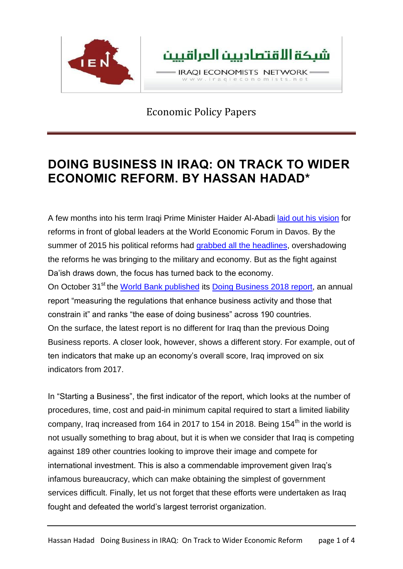

# **DOING BUSINESS IN IRAQ: ON TRACK TO WIDER ECONOMIC REFORM. BY HASSAN HADAD\***

A few months into his term Iraqi Prime Minister Haider Al-Abadi laid out his [vision](http://pmo.iq/pme/press2015en/23-1-20154en.htm) for reforms in front of global leaders at the World Economic Forum in Davos. By the summer of 2015 his political reforms had grabbed all the [headlines,](https://www.reuters.com/article/us-mideast-crisis-iraq-reforms/iraqs-abadi-cuts-11-ministerial-positions-in-reform-push-idUSKCN0QL0S620150816) overshadowing the reforms he was bringing to the military and economy. But as the fight against Da'ish draws down, the focus has turned back to the economy. On October 31<sup>st</sup> the World Bank [published](http://www.doingbusiness.org/reports/global-reports/doing-business-2018) its Doing [Business](http://www.doingbusiness.org/~/media/WBG/DoingBusiness/Documents/Annual-Reports/English/DB2018-Full-Report.pdf) 2018 report, an annual report "measuring the regulations that enhance business activity and those that constrain it" and ranks "the ease of doing business" across 190 countries. On the surface, the latest report is no different for Iraq than the previous Doing Business reports. A closer look, however, shows a different story. For example, out of ten indicators that make up an economy's overall score, Iraq improved on six indicators from 2017.

In "Starting a Business", the first indicator of the report, which looks at the number of procedures, time, cost and paid-in minimum capital required to start a limited liability company, Iraq increased from 164 in 2017 to 154 in 2018. Being 154<sup>th</sup> in the world is not usually something to brag about, but it is when we consider that Iraq is competing against 189 other countries looking to improve their image and compete for international investment. This is also a commendable improvement given Iraq's infamous bureaucracy, which can make obtaining the simplest of government services difficult. Finally, let us not forget that these efforts were undertaken as Iraq fought and defeated the world's largest terrorist organization.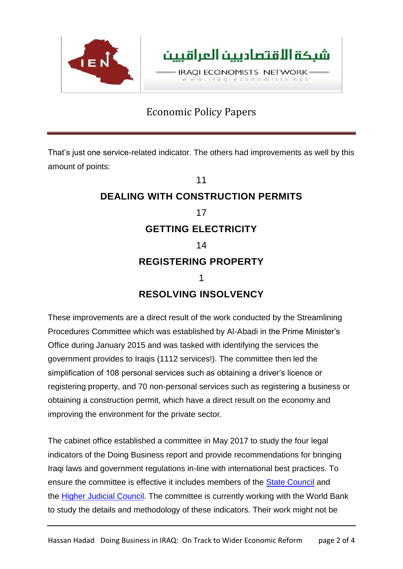

That's just one service-related indicator. The others had improvements as well by this amount of points:

# 11 **DEALING WITH CONSTRUCTION PERMITS** 17 **GETTING ELECTRICITY** 14 **REGISTERING PROPERTY** 1 **RESOLVING INSOLVENCY**

These improvements are a direct result of the work conducted by the Streamlining Procedures Committee which was established by Al-Abadi in the Prime Minister's Office during January 2015 and was tasked with identifying the services the government provides to Iraqis (1112 services!). The committee then led the simplification of 108 personal services such as obtaining a driver's licence or registering property, and 70 non-personal services such as registering a business or obtaining a construction permit, which have a direct result on the economy and improving the environment for the private sector.

The cabinet office established a committee in May 2017 to study the four legal indicators of the Doing Business report and provide recommendations for bringing Iraqi laws and government regulations in-line with international best practices. To ensure the committee is effective it includes members of the **State [Council](http://ar.parliament.iq/2017/07/20/%D9%82%D8%A7%D9%86%D9%88%D9%86-%D9%85%D8%AC%D9%84%D8%B3-%D8%A7%D9%84%D8%AF%D9%88%D9%84%D8%A9/)** and the Higher Judicial [Council.](https://www.iraqja.iq/indexpc.php) The committee is currently working with the World Bank to study the details and methodology of these indicators. Their work might not be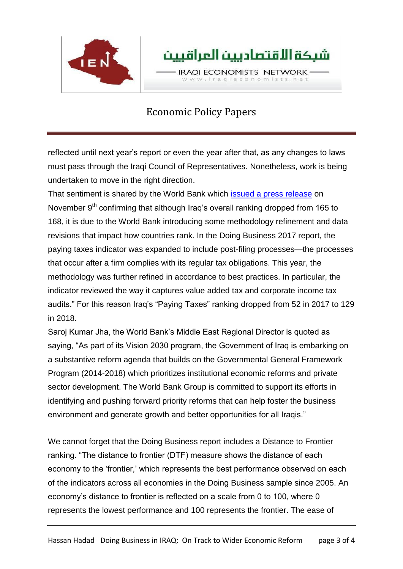

reflected until next year's report or even the year after that, as any changes to laws must pass through the Iraqi Council of Representatives. Nonetheless, work is being undertaken to move in the right direction.

That sentiment is shared by the World Bank which issued a press [release](http://www.uniraq.com/index.php?option=com_k2&view=item&id=7669:doing-business-2018-recent-reforms-in-iraq-pave-the-way-for-more-progress-going-forward&Itemid=605&lang=en) on November  $9<sup>th</sup>$  confirming that although Iraq's overall ranking dropped from 165 to 168, it is due to the World Bank introducing some methodology refinement and data revisions that impact how countries rank. In the Doing Business 2017 report, the paying taxes indicator was expanded to include post-filing processes—the processes that occur after a firm complies with its regular tax obligations. This year, the methodology was further refined in accordance to best practices. In particular, the indicator reviewed the way it captures value added tax and corporate income tax audits." For this reason Iraq's "Paying Taxes" ranking dropped from 52 in 2017 to 129 in 2018.

Saroj Kumar Jha, the World Bank's Middle East Regional Director is quoted as saying, "As part of its Vision 2030 program, the Government of Iraq is embarking on a substantive reform agenda that builds on the Governmental General Framework Program (2014-2018) which prioritizes institutional economic reforms and private sector development. The World Bank Group is committed to support its efforts in identifying and pushing forward priority reforms that can help foster the business environment and generate growth and better opportunities for all Iraqis."

We cannot forget that the Doing Business report includes a Distance to Frontier ranking. "The distance to frontier (DTF) measure shows the distance of each economy to the 'frontier,' which represents the best performance observed on each of the indicators across all economies in the Doing Business sample since 2005. An economy's distance to frontier is reflected on a scale from 0 to 100, where 0 represents the lowest performance and 100 represents the frontier. The ease of